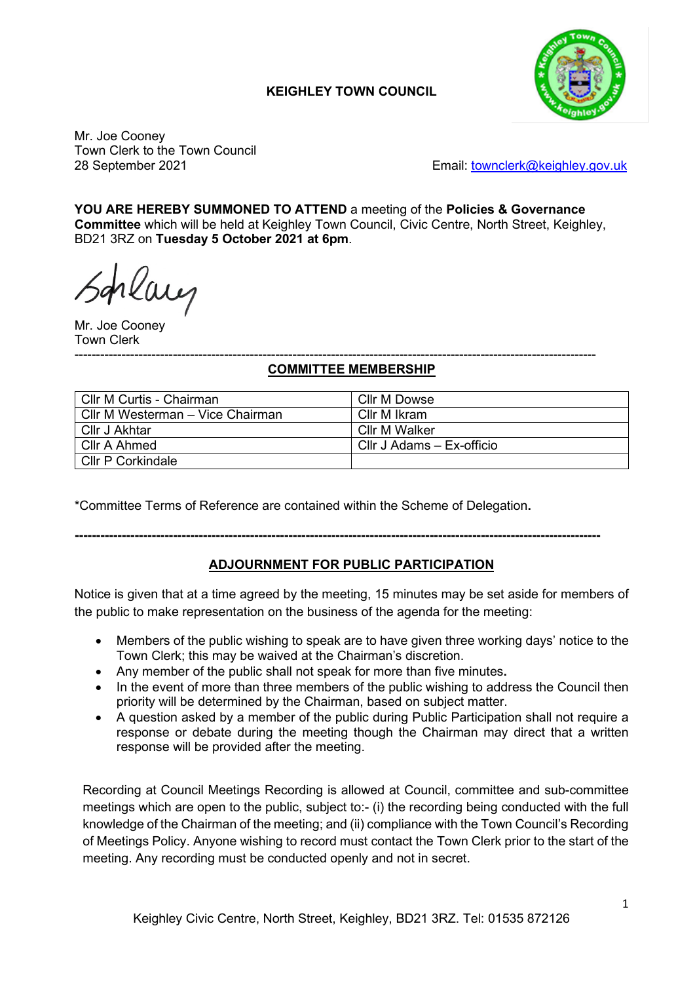# **KEIGHLEY TOWN COUNCIL**



Mr. Joe Cooney Town Clerk to the Town Council

28 September 2021 Email: [townclerk@keighley.gov.uk](mailto:townclerk@keighley.gov.uk)

**YOU ARE HEREBY SUMMONED TO ATTEND** a meeting of the **Policies & Governance Committee** which will be held at Keighley Town Council, Civic Centre, North Street, Keighley, BD21 3RZ on **Tuesday 5 October 2021 at 6pm**.

rlaug

Mr. Joe Cooney Town Clerk

#### -------------------------------------------------------------------------------------------------------------------------- **COMMITTEE MEMBERSHIP**

| Cllr M Curtis - Chairman         | Cllr M Dowse              |
|----------------------------------|---------------------------|
| Cllr M Westerman – Vice Chairman | Cllr M Ikram              |
| Cllr J Akhtar                    | Cllr M Walker             |
| Cllr A Ahmed                     | CIIr J Adams – Ex-officio |
| Cllr P Corkindale                |                           |

\*Committee Terms of Reference are contained within the Scheme of Delegation**.**

# **---------------------------------------------------------------------------------------------------------------------------**

# **ADJOURNMENT FOR PUBLIC PARTICIPATION**

Notice is given that at a time agreed by the meeting, 15 minutes may be set aside for members of the public to make representation on the business of the agenda for the meeting:

- Members of the public wishing to speak are to have given three working days' notice to the Town Clerk; this may be waived at the Chairman's discretion.
- Any member of the public shall not speak for more than five minutes**.**
- In the event of more than three members of the public wishing to address the Council then priority will be determined by the Chairman, based on subject matter.
- A question asked by a member of the public during Public Participation shall not require a response or debate during the meeting though the Chairman may direct that a written response will be provided after the meeting.

Recording at Council Meetings Recording is allowed at Council, committee and sub-committee meetings which are open to the public, subject to:- (i) the recording being conducted with the full knowledge of the Chairman of the meeting; and (ii) compliance with the Town Council's Recording of Meetings Policy. Anyone wishing to record must contact the Town Clerk prior to the start of the meeting. Any recording must be conducted openly and not in secret.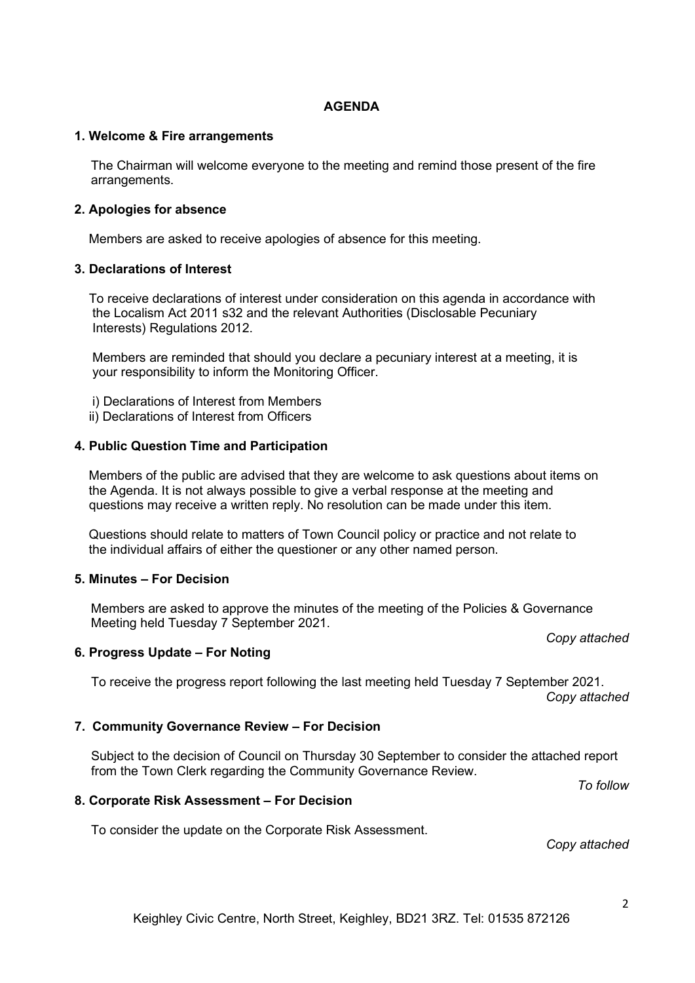## **AGENDA**

### **1. Welcome & Fire arrangements**

The Chairman will welcome everyone to the meeting and remind those present of the fire arrangements.

### **2. Apologies for absence**

Members are asked to receive apologies of absence for this meeting.

### **3. Declarations of Interest**

 To receive declarations of interest under consideration on this agenda in accordance with the Localism Act 2011 s32 and the relevant Authorities (Disclosable Pecuniary Interests) Regulations 2012.

 Members are reminded that should you declare a pecuniary interest at a meeting, it is your responsibility to inform the Monitoring Officer.

- i) Declarations of Interest from Members
- ii) Declarations of Interest from Officers

### **4. Public Question Time and Participation**

 Members of the public are advised that they are welcome to ask questions about items on the Agenda. It is not always possible to give a verbal response at the meeting and questions may receive a written reply. No resolution can be made under this item.

 Questions should relate to matters of Town Council policy or practice and not relate to the individual affairs of either the questioner or any other named person.

#### **5. Minutes – For Decision**

Members are asked to approve the minutes of the meeting of the Policies & Governance Meeting held Tuesday 7 September 2021.

## **6. Progress Update – For Noting**

To receive the progress report following the last meeting held Tuesday 7 September 2021. *Copy attached*

## **7. Community Governance Review – For Decision**

Subject to the decision of Council on Thursday 30 September to consider the attached report from the Town Clerk regarding the Community Governance Review.

*To follow*

## **8. Corporate Risk Assessment – For Decision**

To consider the update on the Corporate Risk Assessment.

*Copy attached*

*Copy attached*